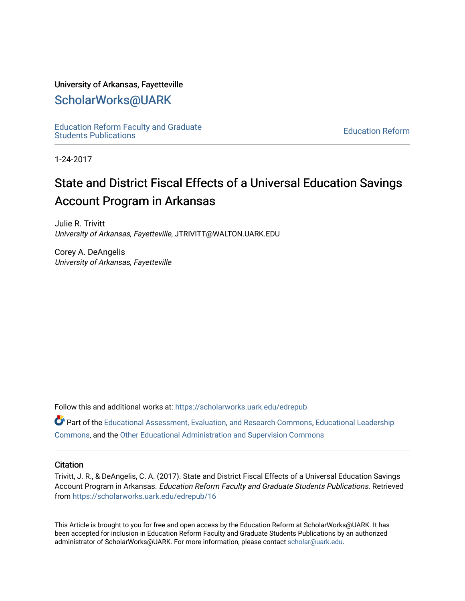#### University of Arkansas, Fayetteville

# [ScholarWorks@UARK](https://scholarworks.uark.edu/)

[Education Reform Faculty and Graduate](https://scholarworks.uark.edu/edrepub)  [Education Reform](https://scholarworks.uark.edu/edre) Faculty and Graduate<br>Students Publications

1-24-2017

# State and District Fiscal Effects of a Universal Education Savings Account Program in Arkansas

Julie R. Trivitt University of Arkansas, Fayetteville, JTRIVITT@WALTON.UARK.EDU

Corey A. DeAngelis University of Arkansas, Fayetteville

Follow this and additional works at: [https://scholarworks.uark.edu/edrepub](https://scholarworks.uark.edu/edrepub?utm_source=scholarworks.uark.edu%2Fedrepub%2F16&utm_medium=PDF&utm_campaign=PDFCoverPages) 

**Part of the [Educational Assessment, Evaluation, and Research Commons](http://network.bepress.com/hgg/discipline/796?utm_source=scholarworks.uark.edu%2Fedrepub%2F16&utm_medium=PDF&utm_campaign=PDFCoverPages), [Educational Leadership](http://network.bepress.com/hgg/discipline/1230?utm_source=scholarworks.uark.edu%2Fedrepub%2F16&utm_medium=PDF&utm_campaign=PDFCoverPages)** [Commons](http://network.bepress.com/hgg/discipline/1230?utm_source=scholarworks.uark.edu%2Fedrepub%2F16&utm_medium=PDF&utm_campaign=PDFCoverPages), and the [Other Educational Administration and Supervision Commons](http://network.bepress.com/hgg/discipline/794?utm_source=scholarworks.uark.edu%2Fedrepub%2F16&utm_medium=PDF&utm_campaign=PDFCoverPages) 

#### **Citation**

Trivitt, J. R., & DeAngelis, C. A. (2017). State and District Fiscal Effects of a Universal Education Savings Account Program in Arkansas. Education Reform Faculty and Graduate Students Publications. Retrieved from [https://scholarworks.uark.edu/edrepub/16](https://scholarworks.uark.edu/edrepub/16?utm_source=scholarworks.uark.edu%2Fedrepub%2F16&utm_medium=PDF&utm_campaign=PDFCoverPages) 

This Article is brought to you for free and open access by the Education Reform at ScholarWorks@UARK. It has been accepted for inclusion in Education Reform Faculty and Graduate Students Publications by an authorized administrator of ScholarWorks@UARK. For more information, please contact [scholar@uark.edu](mailto:scholar@uark.edu).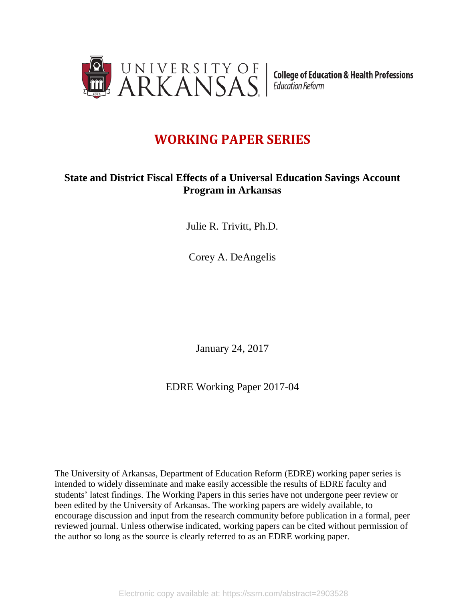

**College of Education & Health Professions Education Reform** 

# **WORKING PAPER SERIES**

## **State and District Fiscal Effects of a Universal Education Savings Account Program in Arkansas**

Julie R. Trivitt, Ph.D.

Corey A. DeAngelis

January 24, 2017

EDRE Working Paper 2017-04

The University of Arkansas, Department of Education Reform (EDRE) working paper series is intended to widely disseminate and make easily accessible the results of EDRE faculty and students' latest findings. The Working Papers in this series have not undergone peer review or been edited by the University of Arkansas. The working papers are widely available, to encourage discussion and input from the research community before publication in a formal, peer reviewed journal. Unless otherwise indicated, working papers can be cited without permission of the author so long as the source is clearly referred to as an EDRE working paper.

Electronic copy available at: https://ssrn.com/abstract=2903528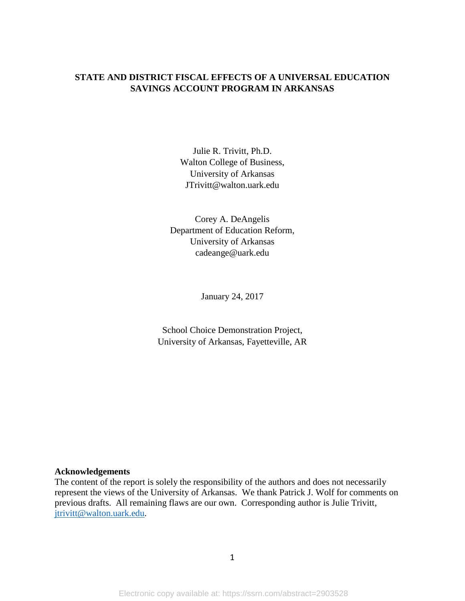## **STATE AND DISTRICT FISCAL EFFECTS OF A UNIVERSAL EDUCATION SAVINGS ACCOUNT PROGRAM IN ARKANSAS**

Julie R. Trivitt, Ph.D. Walton College of Business, University of Arkansas JTrivitt@walton.uark.edu

Corey A. DeAngelis Department of Education Reform, University of Arkansas cadeange@uark.edu

January 24, 2017

School Choice Demonstration Project, University of Arkansas, Fayetteville, AR

#### **Acknowledgements**

The content of the report is solely the responsibility of the authors and does not necessarily represent the views of the University of Arkansas. We thank Patrick J. Wolf for comments on previous drafts. All remaining flaws are our own. Corresponding author is Julie Trivitt, [jtrivitt@walton.uark.edu.](mailto:jtrivitt@walton.uark.edu)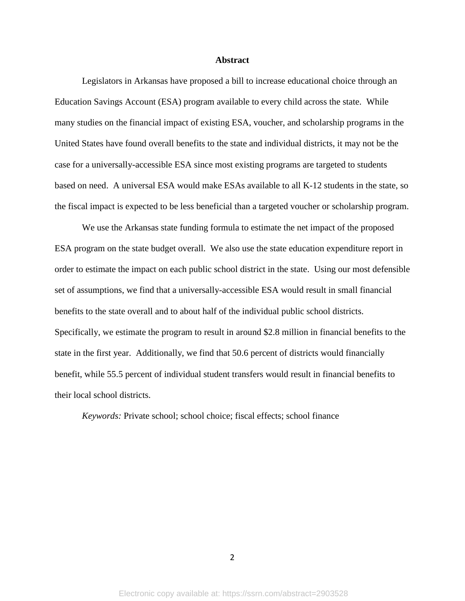#### **Abstract**

Legislators in Arkansas have proposed a bill to increase educational choice through an Education Savings Account (ESA) program available to every child across the state. While many studies on the financial impact of existing ESA, voucher, and scholarship programs in the United States have found overall benefits to the state and individual districts, it may not be the case for a universally-accessible ESA since most existing programs are targeted to students based on need. A universal ESA would make ESAs available to all K-12 students in the state, so the fiscal impact is expected to be less beneficial than a targeted voucher or scholarship program.

We use the Arkansas state funding formula to estimate the net impact of the proposed ESA program on the state budget overall. We also use the state education expenditure report in order to estimate the impact on each public school district in the state. Using our most defensible set of assumptions, we find that a universally-accessible ESA would result in small financial benefits to the state overall and to about half of the individual public school districts. Specifically, we estimate the program to result in around \$2.8 million in financial benefits to the state in the first year. Additionally, we find that 50.6 percent of districts would financially benefit, while 55.5 percent of individual student transfers would result in financial benefits to their local school districts.

*Keywords:* Private school; school choice; fiscal effects; school finance

 $\overline{\mathcal{L}}$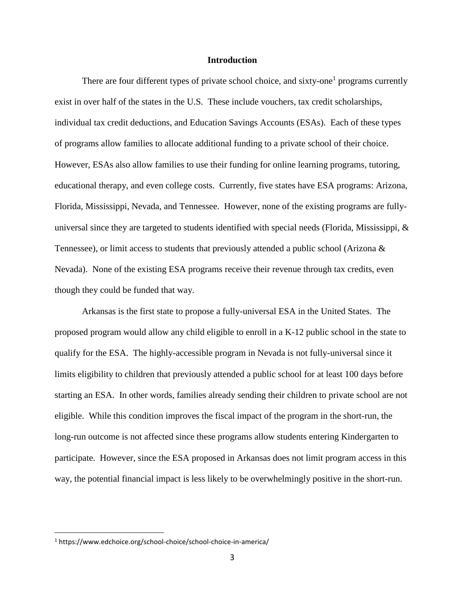#### **Introduction**

There are four different types of private school choice, and sixty-one<sup>1</sup> programs currently exist in over half of the states in the U.S. These include vouchers, tax credit scholarships, individual tax credit deductions, and Education Savings Accounts (ESAs). Each of these types of programs allow families to allocate additional funding to a private school of their choice. However, ESAs also allow families to use their funding for online learning programs, tutoring, educational therapy, and even college costs. Currently, five states have ESA programs: Arizona, Florida, Mississippi, Nevada, and Tennessee. However, none of the existing programs are fullyuniversal since they are targeted to students identified with special needs (Florida, Mississippi,  $\&$ Tennessee), or limit access to students that previously attended a public school (Arizona  $\&$ Nevada). None of the existing ESA programs receive their revenue through tax credits, even though they could be funded that way.

Arkansas is the first state to propose a fully-universal ESA in the United States. The proposed program would allow any child eligible to enroll in a K-12 public school in the state to qualify for the ESA. The highly-accessible program in Nevada is not fully-universal since it limits eligibility to children that previously attended a public school for at least 100 days before starting an ESA. In other words, families already sending their children to private school are not eligible. While this condition improves the fiscal impact of the program in the short-run, the long-run outcome is not affected since these programs allow students entering Kindergarten to participate. However, since the ESA proposed in Arkansas does not limit program access in this way, the potential financial impact is less likely to be overwhelmingly positive in the short-run.

 $\overline{a}$ 

<sup>1</sup> https://www.edchoice.org/school-choice/school-choice-in-america/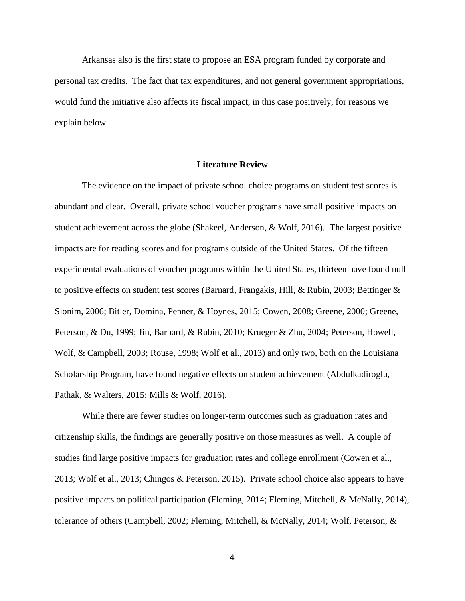Arkansas also is the first state to propose an ESA program funded by corporate and personal tax credits. The fact that tax expenditures, and not general government appropriations, would fund the initiative also affects its fiscal impact, in this case positively, for reasons we explain below.

#### **Literature Review**

The evidence on the impact of private school choice programs on student test scores is abundant and clear. Overall, private school voucher programs have small positive impacts on student achievement across the globe (Shakeel, Anderson, & Wolf, 2016). The largest positive impacts are for reading scores and for programs outside of the United States. Of the fifteen experimental evaluations of voucher programs within the United States, thirteen have found null to positive effects on student test scores (Barnard, Frangakis, Hill, & Rubin, 2003; Bettinger & Slonim, 2006; Bitler, Domina, Penner, & Hoynes, 2015; Cowen, 2008; Greene, 2000; Greene, Peterson, & Du, 1999; Jin, Barnard, & Rubin, 2010; Krueger & Zhu, 2004; Peterson, Howell, Wolf, & Campbell, 2003; Rouse, 1998; Wolf et al., 2013) and only two, both on the Louisiana Scholarship Program, have found negative effects on student achievement (Abdulkadiroglu, Pathak, & Walters, 2015; Mills & Wolf, 2016).

While there are fewer studies on longer-term outcomes such as graduation rates and citizenship skills, the findings are generally positive on those measures as well. A couple of studies find large positive impacts for graduation rates and college enrollment (Cowen et al., 2013; Wolf et al., 2013; Chingos & Peterson, 2015). Private school choice also appears to have positive impacts on political participation (Fleming, 2014; Fleming, Mitchell, & McNally, 2014), tolerance of others (Campbell, 2002; Fleming, Mitchell, & McNally, 2014; Wolf, Peterson, &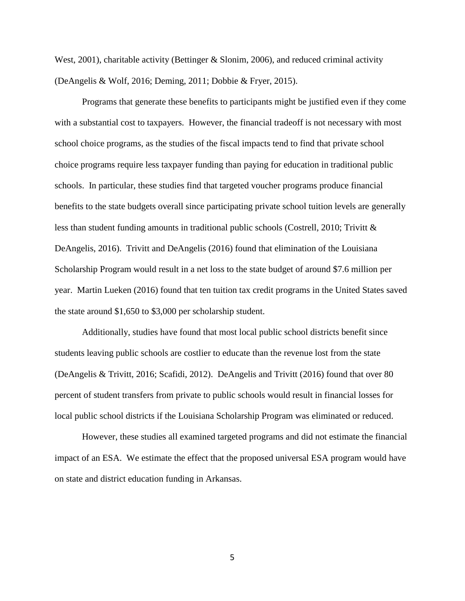West,  $2001$ ), charitable activity (Bettinger & Slonim, 2006), and reduced criminal activity (DeAngelis & Wolf, 2016; Deming, 2011; Dobbie & Fryer, 2015).

Programs that generate these benefits to participants might be justified even if they come with a substantial cost to taxpayers. However, the financial tradeoff is not necessary with most school choice programs, as the studies of the fiscal impacts tend to find that private school choice programs require less taxpayer funding than paying for education in traditional public schools. In particular, these studies find that targeted voucher programs produce financial benefits to the state budgets overall since participating private school tuition levels are generally less than student funding amounts in traditional public schools (Costrell, 2010; Trivitt & DeAngelis, 2016). Trivitt and DeAngelis (2016) found that elimination of the Louisiana Scholarship Program would result in a net loss to the state budget of around \$7.6 million per year. Martin Lueken (2016) found that ten tuition tax credit programs in the United States saved the state around \$1,650 to \$3,000 per scholarship student.

Additionally, studies have found that most local public school districts benefit since students leaving public schools are costlier to educate than the revenue lost from the state (DeAngelis & Trivitt, 2016; Scafidi, 2012). DeAngelis and Trivitt (2016) found that over 80 percent of student transfers from private to public schools would result in financial losses for local public school districts if the Louisiana Scholarship Program was eliminated or reduced.

However, these studies all examined targeted programs and did not estimate the financial impact of an ESA. We estimate the effect that the proposed universal ESA program would have on state and district education funding in Arkansas.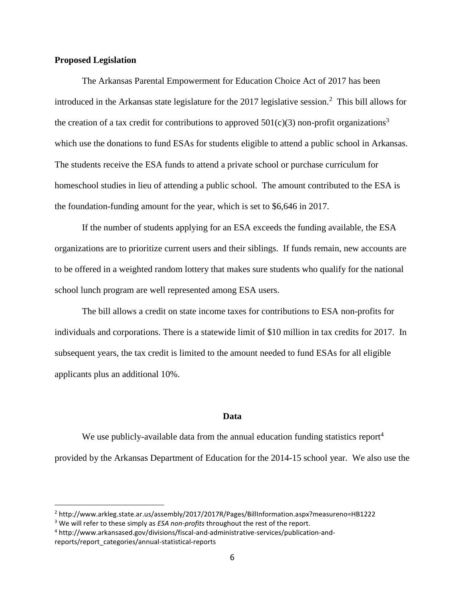#### **Proposed Legislation**

 $\overline{a}$ 

The Arkansas Parental Empowerment for Education Choice Act of 2017 has been introduced in the Arkansas state legislature for the 2017 legislative session.<sup>2</sup> This bill allows for the creation of a tax credit for contributions to approved  $501(c)(3)$  non-profit organizations<sup>3</sup> which use the donations to fund ESAs for students eligible to attend a public school in Arkansas. The students receive the ESA funds to attend a private school or purchase curriculum for homeschool studies in lieu of attending a public school. The amount contributed to the ESA is the foundation-funding amount for the year, which is set to \$6,646 in 2017.

If the number of students applying for an ESA exceeds the funding available, the ESA organizations are to prioritize current users and their siblings. If funds remain, new accounts are to be offered in a weighted random lottery that makes sure students who qualify for the national school lunch program are well represented among ESA users.

The bill allows a credit on state income taxes for contributions to ESA non-profits for individuals and corporations. There is a statewide limit of \$10 million in tax credits for 2017. In subsequent years, the tax credit is limited to the amount needed to fund ESAs for all eligible applicants plus an additional 10%.

#### **Data**

We use publicly-available data from the annual education funding statistics report<sup>4</sup> provided by the Arkansas Department of Education for the 2014-15 school year. We also use the

<sup>2</sup> http://www.arkleg.state.ar.us/assembly/2017/2017R/Pages/BillInformation.aspx?measureno=HB1222

<sup>&</sup>lt;sup>3</sup> We will refer to these simply as *ESA non-profits* throughout the rest of the report.

<sup>4</sup> http://www.arkansased.gov/divisions/fiscal-and-administrative-services/publication-andreports/report\_categories/annual-statistical-reports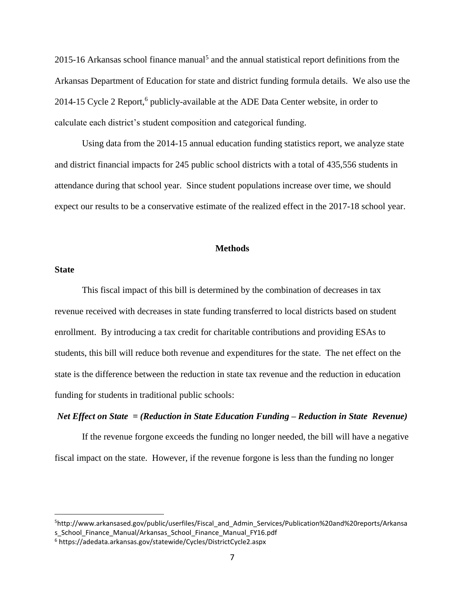$2015$ -16 Arkansas school finance manual<sup>5</sup> and the annual statistical report definitions from the Arkansas Department of Education for state and district funding formula details. We also use the 2014-15 Cycle 2 Report,<sup>6</sup> publicly-available at the ADE Data Center website, in order to calculate each district's student composition and categorical funding.

Using data from the 2014-15 annual education funding statistics report, we analyze state and district financial impacts for 245 public school districts with a total of 435,556 students in attendance during that school year. Since student populations increase over time, we should expect our results to be a conservative estimate of the realized effect in the 2017-18 school year.

#### **Methods**

#### **State**

 $\overline{a}$ 

This fiscal impact of this bill is determined by the combination of decreases in tax revenue received with decreases in state funding transferred to local districts based on student enrollment. By introducing a tax credit for charitable contributions and providing ESAs to students, this bill will reduce both revenue and expenditures for the state. The net effect on the state is the difference between the reduction in state tax revenue and the reduction in education funding for students in traditional public schools:

#### *Net Effect on State = (Reduction in State Education Funding – Reduction in State Revenue)*

If the revenue forgone exceeds the funding no longer needed, the bill will have a negative fiscal impact on the state. However, if the revenue forgone is less than the funding no longer

<sup>5</sup>http://www.arkansased.gov/public/userfiles/Fiscal\_and\_Admin\_Services/Publication%20and%20reports/Arkansa s School Finance Manual/Arkansas School Finance Manual FY16.pdf

<sup>6</sup> https://adedata.arkansas.gov/statewide/Cycles/DistrictCycle2.aspx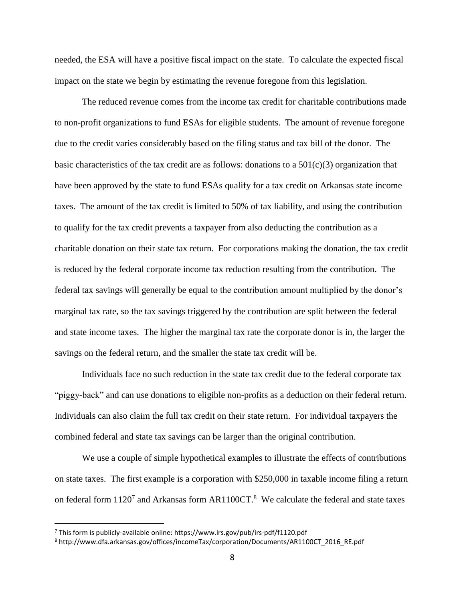needed, the ESA will have a positive fiscal impact on the state. To calculate the expected fiscal impact on the state we begin by estimating the revenue foregone from this legislation.

The reduced revenue comes from the income tax credit for charitable contributions made to non-profit organizations to fund ESAs for eligible students. The amount of revenue foregone due to the credit varies considerably based on the filing status and tax bill of the donor. The basic characteristics of the tax credit are as follows: donations to a  $501(c)(3)$  organization that have been approved by the state to fund ESAs qualify for a tax credit on Arkansas state income taxes. The amount of the tax credit is limited to 50% of tax liability, and using the contribution to qualify for the tax credit prevents a taxpayer from also deducting the contribution as a charitable donation on their state tax return. For corporations making the donation, the tax credit is reduced by the federal corporate income tax reduction resulting from the contribution. The federal tax savings will generally be equal to the contribution amount multiplied by the donor's marginal tax rate, so the tax savings triggered by the contribution are split between the federal and state income taxes. The higher the marginal tax rate the corporate donor is in, the larger the savings on the federal return, and the smaller the state tax credit will be.

Individuals face no such reduction in the state tax credit due to the federal corporate tax "piggy-back" and can use donations to eligible non-profits as a deduction on their federal return. Individuals can also claim the full tax credit on their state return. For individual taxpayers the combined federal and state tax savings can be larger than the original contribution.

We use a couple of simple hypothetical examples to illustrate the effects of contributions on state taxes. The first example is a corporation with \$250,000 in taxable income filing a return on federal form  $1120^7$  and Arkansas form AR1100CT.<sup>8</sup> We calculate the federal and state taxes

 $\overline{a}$ 

 $<sup>7</sup>$  This form is publicly-available online: https://www.irs.gov/pub/irs-pdf/f1120.pdf</sup>

<sup>8</sup> http://www.dfa.arkansas.gov/offices/incomeTax/corporation/Documents/AR1100CT\_2016\_RE.pdf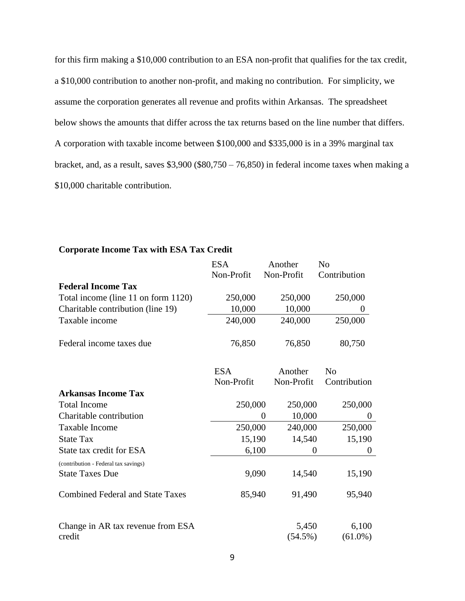for this firm making a \$10,000 contribution to an ESA non-profit that qualifies for the tax credit, a \$10,000 contribution to another non-profit, and making no contribution. For simplicity, we assume the corporation generates all revenue and profits within Arkansas. The spreadsheet below shows the amounts that differ across the tax returns based on the line number that differs. A corporation with taxable income between \$100,000 and \$335,000 is in a 39% marginal tax bracket, and, as a result, saves  $$3,900$  (\$80,750 – 76,850) in federal income taxes when making a \$10,000 charitable contribution.

#### ESA Non-Profit Another Non-Profit No Contribution **Federal Income Tax** Total income (line 11 on form 1120) 250,000 250,000 250,000 Charitable contribution (line 19) 10,000 10,000 0 Taxable income 240,000 240,000 250,000 Federal income taxes due  $76,850$  76,850 80,750 ESA Non-Profit Another Non-Profit No Contribution **Arkansas Income Tax** Total Income 250,000 250,000 250,000 250,000 Charitable contribution  $0 \t 10,000 \t 0$ Taxable Income 250,000 240,000 250,000 State Tax 15,190 14,540 15,190 State tax credit for ESA 6,100 0 0 0 0 (contribution - Federal tax savings) State Taxes Due 9,090 14,540 15,190 Combined Federal and State Taxes 85,940 91,490 95,940 Change in AR tax revenue from ESA credit 5,450 (54.5%) 6,100 (61.0%)

#### **Corporate Income Tax with ESA Tax Credit**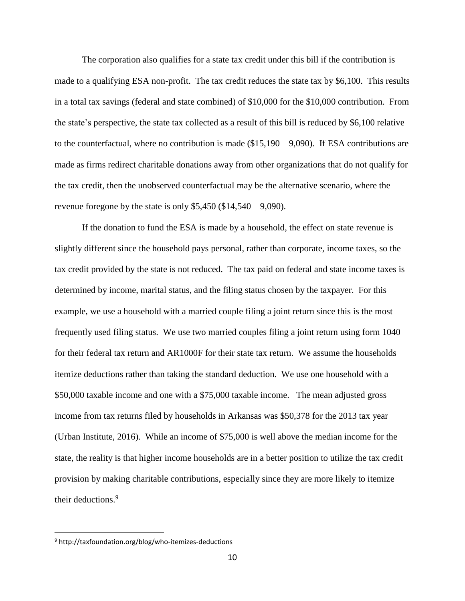The corporation also qualifies for a state tax credit under this bill if the contribution is made to a qualifying ESA non-profit. The tax credit reduces the state tax by \$6,100. This results in a total tax savings (federal and state combined) of \$10,000 for the \$10,000 contribution. From the state's perspective, the state tax collected as a result of this bill is reduced by \$6,100 relative to the counterfactual, where no contribution is made (\$15,190 – 9,090). If ESA contributions are made as firms redirect charitable donations away from other organizations that do not qualify for the tax credit, then the unobserved counterfactual may be the alternative scenario, where the revenue foregone by the state is only  $$5,450 ($14,540 - 9,090)$ .

If the donation to fund the ESA is made by a household, the effect on state revenue is slightly different since the household pays personal, rather than corporate, income taxes, so the tax credit provided by the state is not reduced. The tax paid on federal and state income taxes is determined by income, marital status, and the filing status chosen by the taxpayer. For this example, we use a household with a married couple filing a joint return since this is the most frequently used filing status. We use two married couples filing a joint return using form 1040 for their federal tax return and AR1000F for their state tax return. We assume the households itemize deductions rather than taking the standard deduction. We use one household with a \$50,000 taxable income and one with a \$75,000 taxable income. The mean adjusted gross income from tax returns filed by households in Arkansas was \$50,378 for the 2013 tax year (Urban Institute, 2016). While an income of \$75,000 is well above the median income for the state, the reality is that higher income households are in a better position to utilize the tax credit provision by making charitable contributions, especially since they are more likely to itemize their deductions. 9

 $\overline{a}$ 

<sup>9</sup> http://taxfoundation.org/blog/who-itemizes-deductions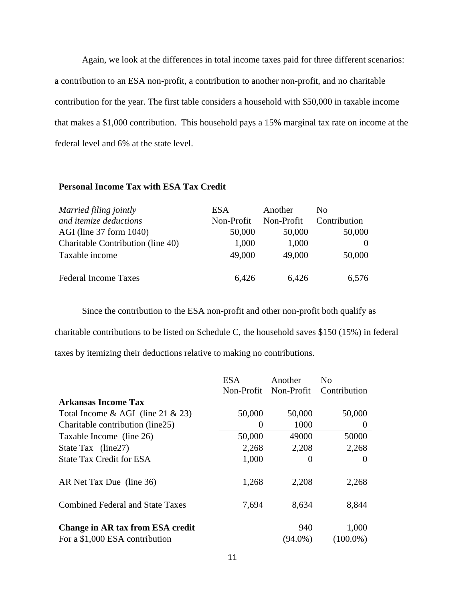Again, we look at the differences in total income taxes paid for three different scenarios: a contribution to an ESA non-profit, a contribution to another non-profit, and no charitable contribution for the year. The first table considers a household with \$50,000 in taxable income that makes a \$1,000 contribution. This household pays a 15% marginal tax rate on income at the federal level and 6% at the state level.

#### **Personal Income Tax with ESA Tax Credit**

| Married filing jointly            | <b>ESA</b> | Another    | No.          |
|-----------------------------------|------------|------------|--------------|
| and itemize deductions            | Non-Profit | Non-Profit | Contribution |
| AGI (line 37 form 1040)           | 50,000     | 50,000     | 50,000       |
| Charitable Contribution (line 40) | 1,000      | 1,000      | $\theta$     |
| Taxable income                    | 49,000     | 49,000     | 50,000       |
| <b>Federal Income Taxes</b>       | 6,426      | 6,426      | 6,576        |

Since the contribution to the ESA non-profit and other non-profit both qualify as charitable contributions to be listed on Schedule C, the household saves \$150 (15%) in federal taxes by itemizing their deductions relative to making no contributions.

|                                                                    | ESA.                  | Another           | N <sub>0</sub>       |
|--------------------------------------------------------------------|-----------------------|-------------------|----------------------|
|                                                                    | Non-Profit Non-Profit |                   | Contribution         |
| Arkansas Income Tax                                                |                       |                   |                      |
| Total Income & AGI (line 21 & 23)                                  | 50,000                | 50,000            | 50,000               |
| Charitable contribution (line25)                                   | $\theta$              | 1000              | $\theta$             |
| Taxable Income (line 26)                                           | 50,000                | 49000             | 50000                |
| State Tax (line27)                                                 | 2,268                 | 2,208             | 2,268                |
| <b>State Tax Credit for ESA</b>                                    | 1,000                 | 0                 | $\theta$             |
| AR Net Tax Due (line 36)                                           | 1,268                 | 2,208             | 2,268                |
| <b>Combined Federal and State Taxes</b>                            | 7,694                 | 8,634             | 8,844                |
| Change in AR tax from ESA credit<br>For a \$1,000 ESA contribution |                       | 940<br>$(94.0\%)$ | 1,000<br>$(100.0\%)$ |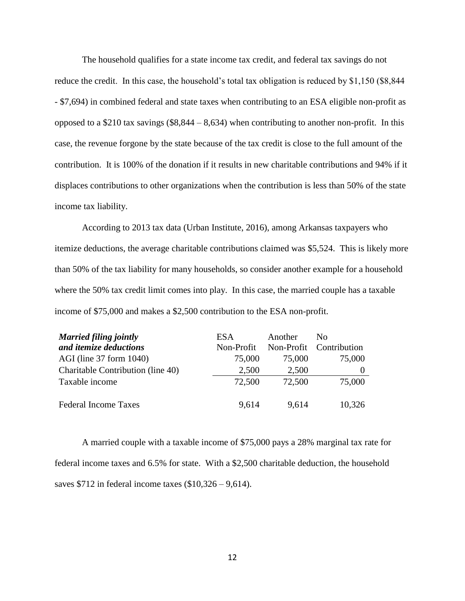The household qualifies for a state income tax credit, and federal tax savings do not reduce the credit. In this case, the household's total tax obligation is reduced by \$1,150 (\$8,844 - \$7,694) in combined federal and state taxes when contributing to an ESA eligible non-profit as opposed to a \$210 tax savings  $(\$8,844 - 8,634)$  when contributing to another non-profit. In this case, the revenue forgone by the state because of the tax credit is close to the full amount of the contribution. It is 100% of the donation if it results in new charitable contributions and 94% if it displaces contributions to other organizations when the contribution is less than 50% of the state income tax liability.

According to 2013 tax data (Urban Institute, 2016), among Arkansas taxpayers who itemize deductions, the average charitable contributions claimed was \$5,524. This is likely more than 50% of the tax liability for many households, so consider another example for a household where the 50% tax credit limit comes into play. In this case, the married couple has a taxable income of \$75,000 and makes a \$2,500 contribution to the ESA non-profit.

| <b>Married filing jointly</b>     | <b>ESA</b> | Another | No                      |
|-----------------------------------|------------|---------|-------------------------|
| and itemize deductions            | Non-Profit |         | Non-Profit Contribution |
| AGI (line 37 form 1040)           | 75,000     | 75,000  | 75,000                  |
| Charitable Contribution (line 40) | 2,500      | 2,500   |                         |
| Taxable income                    | 72,500     | 72,500  | 75,000                  |
| <b>Federal Income Taxes</b>       | 9,614      | 9,614   | 10,326                  |

A married couple with a taxable income of \$75,000 pays a 28% marginal tax rate for federal income taxes and 6.5% for state. With a \$2,500 charitable deduction, the household saves  $$712$  in federal income taxes  $$10,326 - 9,614$ .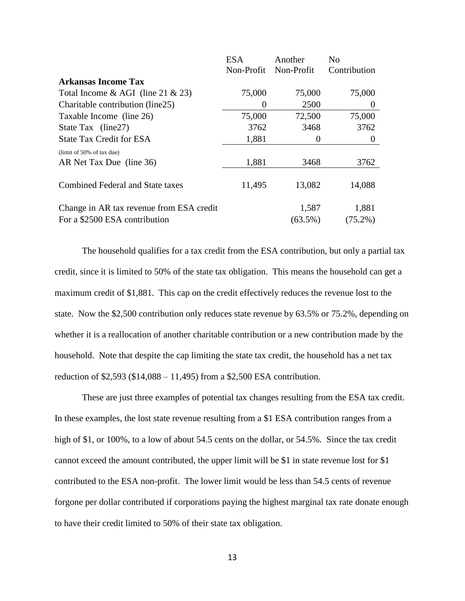|                                          | <b>ESA</b> | Another    | N <sub>0</sub> |
|------------------------------------------|------------|------------|----------------|
|                                          | Non-Profit | Non-Profit | Contribution   |
| <b>Arkansas Income Tax</b>               |            |            |                |
| Total Income & AGI (line $21 \& 23$ )    | 75,000     | 75,000     | 75,000         |
| Charitable contribution (line25)         | 0          | 2500       | $\theta$       |
| Taxable Income (line 26)                 | 75,000     | 72,500     | 75,000         |
| State Tax (line27)                       | 3762       | 3468       | 3762           |
| <b>State Tax Credit for ESA</b>          | 1,881      | 0          | $\theta$       |
| (limit of 50% of tax due)                |            |            |                |
| AR Net Tax Due (line 36)                 | 1,881      | 3468       | 3762           |
|                                          |            |            |                |
| <b>Combined Federal and State taxes</b>  | 11,495     | 13,082     | 14,088         |
| Change in AR tax revenue from ESA credit |            | 1,587      | 1,881          |
| For a \$2500 ESA contribution            |            | $(63.5\%)$ | $(75.2\%)$     |

The household qualifies for a tax credit from the ESA contribution, but only a partial tax credit, since it is limited to 50% of the state tax obligation. This means the household can get a maximum credit of \$1,881. This cap on the credit effectively reduces the revenue lost to the state. Now the \$2,500 contribution only reduces state revenue by 63.5% or 75.2%, depending on whether it is a reallocation of another charitable contribution or a new contribution made by the household. Note that despite the cap limiting the state tax credit, the household has a net tax reduction of \$2,593 (\$14,088 – 11,495) from a \$2,500 ESA contribution.

These are just three examples of potential tax changes resulting from the ESA tax credit. In these examples, the lost state revenue resulting from a \$1 ESA contribution ranges from a high of \$1, or 100%, to a low of about 54.5 cents on the dollar, or 54.5%. Since the tax credit cannot exceed the amount contributed, the upper limit will be \$1 in state revenue lost for \$1 contributed to the ESA non-profit. The lower limit would be less than 54.5 cents of revenue forgone per dollar contributed if corporations paying the highest marginal tax rate donate enough to have their credit limited to 50% of their state tax obligation.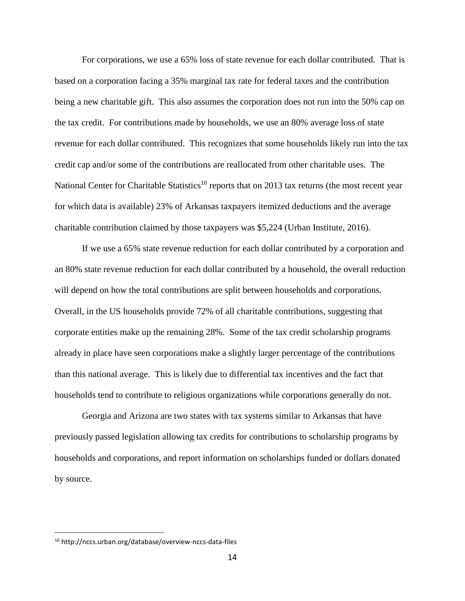For corporations, we use a 65% loss of state revenue for each dollar contributed. That is based on a corporation facing a 35% marginal tax rate for federal taxes and the contribution being a new charitable gift. This also assumes the corporation does not run into the 50% cap on the tax credit. For contributions made by households, we use an 80% average loss of state revenue for each dollar contributed. This recognizes that some households likely run into the tax credit cap and/or some of the contributions are reallocated from other charitable uses. The National Center for Charitable Statistics<sup>10</sup> reports that on 2013 tax returns (the most recent year for which data is available) 23% of Arkansas taxpayers itemized deductions and the average charitable contribution claimed by those taxpayers was \$5,224 (Urban Institute, 2016).

If we use a 65% state revenue reduction for each dollar contributed by a corporation and an 80% state revenue reduction for each dollar contributed by a household, the overall reduction will depend on how the total contributions are split between households and corporations. Overall, in the US households provide 72% of all charitable contributions, suggesting that corporate entities make up the remaining 28%. Some of the tax credit scholarship programs already in place have seen corporations make a slightly larger percentage of the contributions than this national average. This is likely due to differential tax incentives and the fact that households tend to contribute to religious organizations while corporations generally do not.

Georgia and Arizona are two states with tax systems similar to Arkansas that have previously passed legislation allowing tax credits for contributions to scholarship programs by households and corporations, and report information on scholarships funded or dollars donated by source.

 $\overline{a}$ 

<sup>10</sup> http://nccs.urban.org/database/overview-nccs-data-files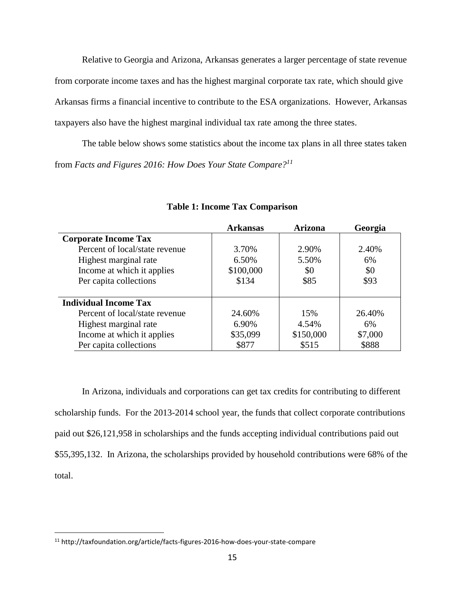Relative to Georgia and Arizona, Arkansas generates a larger percentage of state revenue from corporate income taxes and has the highest marginal corporate tax rate, which should give Arkansas firms a financial incentive to contribute to the ESA organizations. However, Arkansas taxpayers also have the highest marginal individual tax rate among the three states.

The table below shows some statistics about the income tax plans in all three states taken from *Facts and Figures 2016: How Does Your State Compare?<sup>11</sup>* 

|                                | <b>Arkansas</b> | <b>Arizona</b> | Georgia |
|--------------------------------|-----------------|----------------|---------|
| <b>Corporate Income Tax</b>    |                 |                |         |
| Percent of local/state revenue | 3.70%           | 2.90%          | 2.40%   |
| Highest marginal rate          | 6.50%           | 5.50%          | 6%      |
| Income at which it applies     | \$100,000       | \$0            | \$0     |
| Per capita collections         | \$134           | \$85           | \$93    |
|                                |                 |                |         |
| <b>Individual Income Tax</b>   |                 |                |         |
| Percent of local/state revenue | 24.60%          | 15%            | 26.40%  |
| Highest marginal rate          | 6.90%           | 4.54%          | 6%      |
| Income at which it applies     | \$35,099        | \$150,000      | \$7,000 |
| Per capita collections         | \$877           | \$515          | \$888   |

#### **Table 1: Income Tax Comparison**

In Arizona, individuals and corporations can get tax credits for contributing to different scholarship funds. For the 2013-2014 school year, the funds that collect corporate contributions paid out \$26,121,958 in scholarships and the funds accepting individual contributions paid out \$55,395,132. In Arizona, the scholarships provided by household contributions were 68% of the total.

 $\overline{a}$ 

<sup>11</sup> http://taxfoundation.org/article/facts-figures-2016-how-does-your-state-compare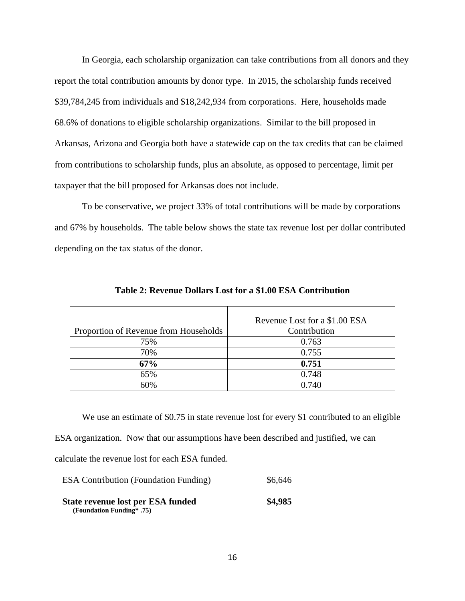In Georgia, each scholarship organization can take contributions from all donors and they report the total contribution amounts by donor type. In 2015, the scholarship funds received \$39,784,245 from individuals and \$18,242,934 from corporations. Here, households made 68.6% of donations to eligible scholarship organizations. Similar to the bill proposed in Arkansas, Arizona and Georgia both have a statewide cap on the tax credits that can be claimed from contributions to scholarship funds, plus an absolute, as opposed to percentage, limit per taxpayer that the bill proposed for Arkansas does not include.

To be conservative, we project 33% of total contributions will be made by corporations and 67% by households. The table below shows the state tax revenue lost per dollar contributed depending on the tax status of the donor.

| Proportion of Revenue from Households | Revenue Lost for a \$1.00 ESA<br>Contribution |
|---------------------------------------|-----------------------------------------------|
| 75%                                   | 0.763                                         |
| 70%                                   | 0.755                                         |
| 67%                                   | 0.751                                         |
| 65%                                   | 0.748                                         |
| 60%                                   | 0.740                                         |

**Table 2: Revenue Dollars Lost for a \$1.00 ESA Contribution**

We use an estimate of \$0.75 in state revenue lost for every \$1 contributed to an eligible ESA organization. Now that our assumptions have been described and justified, we can calculate the revenue lost for each ESA funded.

| <b>ESA Contribution (Foundation Funding)</b>                   | \$6,646 |
|----------------------------------------------------------------|---------|
| State revenue lost per ESA funded<br>(Foundation Funding* .75) | \$4,985 |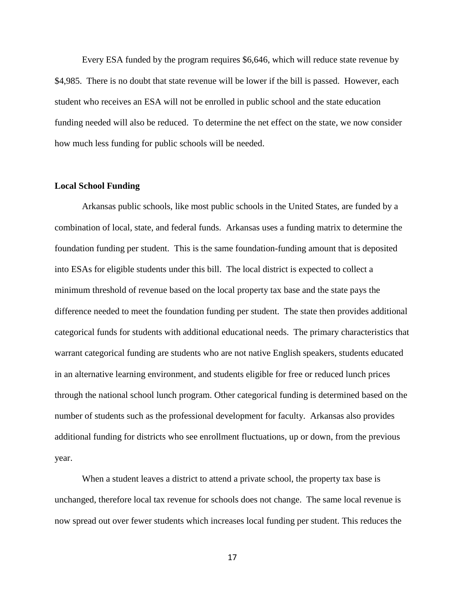Every ESA funded by the program requires \$6,646, which will reduce state revenue by \$4,985. There is no doubt that state revenue will be lower if the bill is passed. However, each student who receives an ESA will not be enrolled in public school and the state education funding needed will also be reduced. To determine the net effect on the state, we now consider how much less funding for public schools will be needed.

#### **Local School Funding**

Arkansas public schools, like most public schools in the United States, are funded by a combination of local, state, and federal funds. Arkansas uses a funding matrix to determine the foundation funding per student. This is the same foundation-funding amount that is deposited into ESAs for eligible students under this bill. The local district is expected to collect a minimum threshold of revenue based on the local property tax base and the state pays the difference needed to meet the foundation funding per student. The state then provides additional categorical funds for students with additional educational needs. The primary characteristics that warrant categorical funding are students who are not native English speakers, students educated in an alternative learning environment, and students eligible for free or reduced lunch prices through the national school lunch program. Other categorical funding is determined based on the number of students such as the professional development for faculty. Arkansas also provides additional funding for districts who see enrollment fluctuations, up or down, from the previous year.

When a student leaves a district to attend a private school, the property tax base is unchanged, therefore local tax revenue for schools does not change. The same local revenue is now spread out over fewer students which increases local funding per student. This reduces the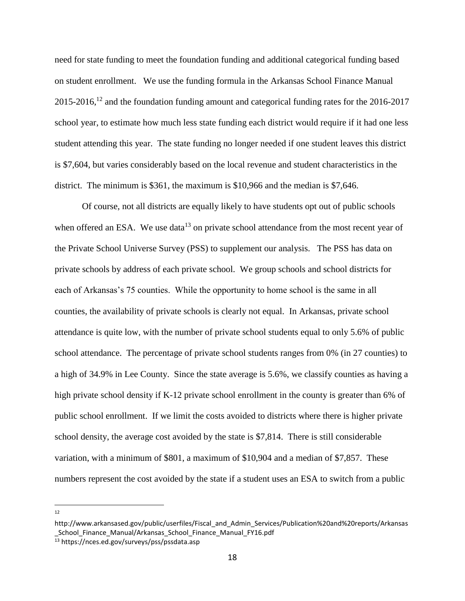need for state funding to meet the foundation funding and additional categorical funding based on student enrollment. We use the funding formula in the Arkansas School Finance Manual  $2015$ -2016,<sup>12</sup> and the foundation funding amount and categorical funding rates for the 2016-2017 school year, to estimate how much less state funding each district would require if it had one less student attending this year. The state funding no longer needed if one student leaves this district is \$7,604, but varies considerably based on the local revenue and student characteristics in the district. The minimum is \$361, the maximum is \$10,966 and the median is \$7,646.

Of course, not all districts are equally likely to have students opt out of public schools when offered an ESA. We use data<sup>13</sup> on private school attendance from the most recent year of the Private School Universe Survey (PSS) to supplement our analysis. The PSS has data on private schools by address of each private school. We group schools and school districts for each of Arkansas's 75 counties. While the opportunity to home school is the same in all counties, the availability of private schools is clearly not equal. In Arkansas, private school attendance is quite low, with the number of private school students equal to only 5.6% of public school attendance. The percentage of private school students ranges from 0% (in 27 counties) to a high of 34.9% in Lee County. Since the state average is 5.6%, we classify counties as having a high private school density if K-12 private school enrollment in the county is greater than 6% of public school enrollment. If we limit the costs avoided to districts where there is higher private school density, the average cost avoided by the state is \$7,814. There is still considerable variation, with a minimum of \$801, a maximum of \$10,904 and a median of \$7,857. These numbers represent the cost avoided by the state if a student uses an ESA to switch from a public

 $\frac{1}{12}$ 

http://www.arkansased.gov/public/userfiles/Fiscal\_and\_Admin\_Services/Publication%20and%20reports/Arkansas \_School\_Finance\_Manual/Arkansas\_School\_Finance\_Manual\_FY16.pdf

<sup>13</sup> https://nces.ed.gov/surveys/pss/pssdata.asp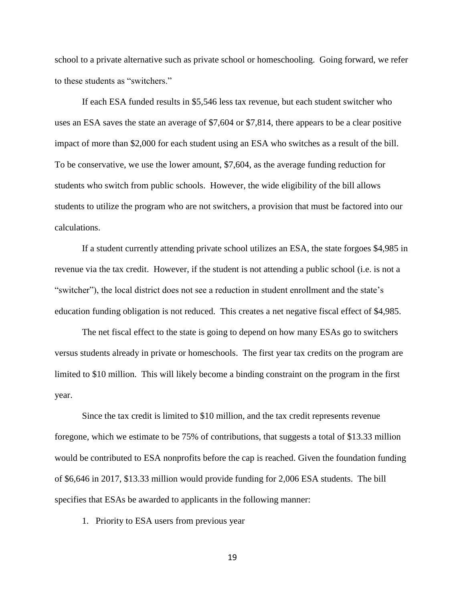school to a private alternative such as private school or homeschooling. Going forward, we refer to these students as "switchers."

If each ESA funded results in \$5,546 less tax revenue, but each student switcher who uses an ESA saves the state an average of \$7,604 or \$7,814, there appears to be a clear positive impact of more than \$2,000 for each student using an ESA who switches as a result of the bill. To be conservative, we use the lower amount, \$7,604, as the average funding reduction for students who switch from public schools. However, the wide eligibility of the bill allows students to utilize the program who are not switchers, a provision that must be factored into our calculations.

If a student currently attending private school utilizes an ESA, the state forgoes \$4,985 in revenue via the tax credit. However, if the student is not attending a public school (i.e. is not a "switcher"), the local district does not see a reduction in student enrollment and the state's education funding obligation is not reduced. This creates a net negative fiscal effect of \$4,985.

The net fiscal effect to the state is going to depend on how many ESAs go to switchers versus students already in private or homeschools. The first year tax credits on the program are limited to \$10 million. This will likely become a binding constraint on the program in the first year.

Since the tax credit is limited to \$10 million, and the tax credit represents revenue foregone, which we estimate to be 75% of contributions, that suggests a total of \$13.33 million would be contributed to ESA nonprofits before the cap is reached. Given the foundation funding of \$6,646 in 2017, \$13.33 million would provide funding for 2,006 ESA students. The bill specifies that ESAs be awarded to applicants in the following manner:

1. Priority to ESA users from previous year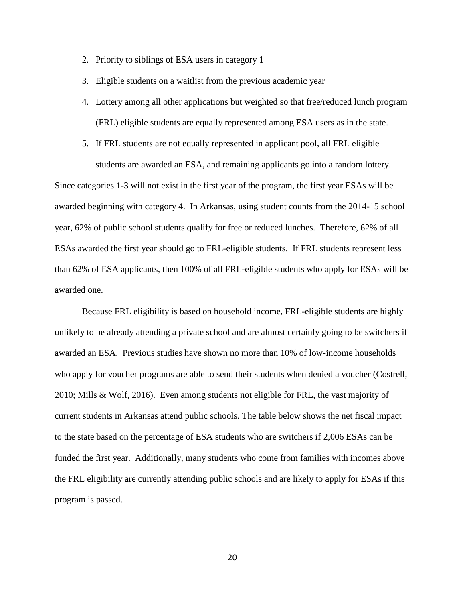- 2. Priority to siblings of ESA users in category 1
- 3. Eligible students on a waitlist from the previous academic year
- 4. Lottery among all other applications but weighted so that free/reduced lunch program (FRL) eligible students are equally represented among ESA users as in the state.
- 5. If FRL students are not equally represented in applicant pool, all FRL eligible students are awarded an ESA, and remaining applicants go into a random lottery.

Since categories 1-3 will not exist in the first year of the program, the first year ESAs will be awarded beginning with category 4. In Arkansas, using student counts from the 2014-15 school year, 62% of public school students qualify for free or reduced lunches. Therefore, 62% of all ESAs awarded the first year should go to FRL-eligible students. If FRL students represent less than 62% of ESA applicants, then 100% of all FRL-eligible students who apply for ESAs will be awarded one.

Because FRL eligibility is based on household income, FRL-eligible students are highly unlikely to be already attending a private school and are almost certainly going to be switchers if awarded an ESA. Previous studies have shown no more than 10% of low-income households who apply for voucher programs are able to send their students when denied a voucher (Costrell, 2010; Mills & Wolf, 2016). Even among students not eligible for FRL, the vast majority of current students in Arkansas attend public schools. The table below shows the net fiscal impact to the state based on the percentage of ESA students who are switchers if 2,006 ESAs can be funded the first year. Additionally, many students who come from families with incomes above the FRL eligibility are currently attending public schools and are likely to apply for ESAs if this program is passed.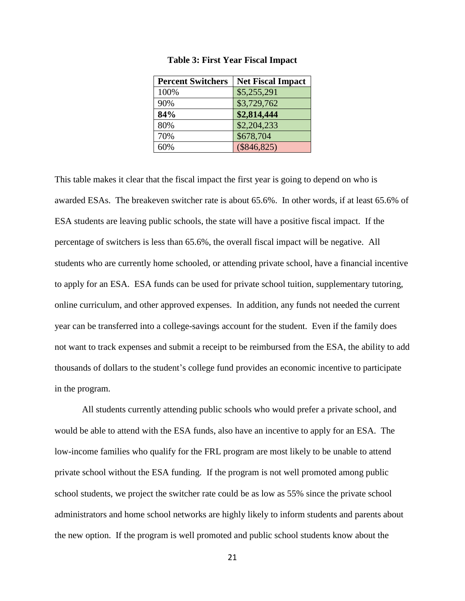| <b>Percent Switchers</b> | <b>Net Fiscal Impact</b> |
|--------------------------|--------------------------|
| 100%                     | \$5,255,291              |
| 90%                      | \$3,729,762              |
| 84%                      | \$2,814,444              |
| 80%                      | \$2,204,233              |
| 70%                      | \$678,704                |
| 60%                      | $(\$846,825)$            |

#### **Table 3: First Year Fiscal Impact**

This table makes it clear that the fiscal impact the first year is going to depend on who is awarded ESAs. The breakeven switcher rate is about 65.6%. In other words, if at least 65.6% of ESA students are leaving public schools, the state will have a positive fiscal impact. If the percentage of switchers is less than 65.6%, the overall fiscal impact will be negative. All students who are currently home schooled, or attending private school, have a financial incentive to apply for an ESA. ESA funds can be used for private school tuition, supplementary tutoring, online curriculum, and other approved expenses. In addition, any funds not needed the current year can be transferred into a college-savings account for the student. Even if the family does not want to track expenses and submit a receipt to be reimbursed from the ESA, the ability to add thousands of dollars to the student's college fund provides an economic incentive to participate in the program.

All students currently attending public schools who would prefer a private school, and would be able to attend with the ESA funds, also have an incentive to apply for an ESA. The low-income families who qualify for the FRL program are most likely to be unable to attend private school without the ESA funding. If the program is not well promoted among public school students, we project the switcher rate could be as low as 55% since the private school administrators and home school networks are highly likely to inform students and parents about the new option. If the program is well promoted and public school students know about the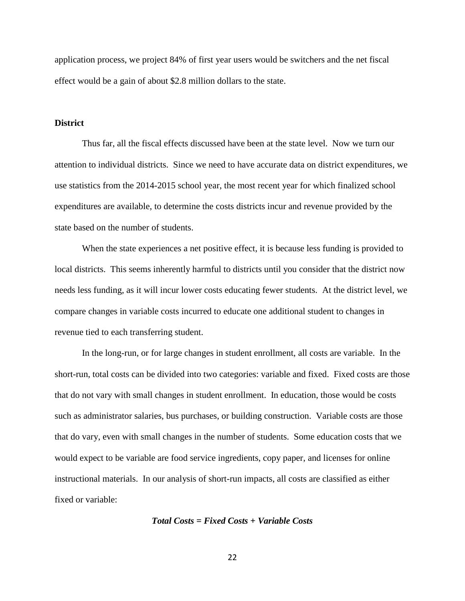application process, we project 84% of first year users would be switchers and the net fiscal effect would be a gain of about \$2.8 million dollars to the state.

#### **District**

Thus far, all the fiscal effects discussed have been at the state level. Now we turn our attention to individual districts. Since we need to have accurate data on district expenditures, we use statistics from the 2014-2015 school year, the most recent year for which finalized school expenditures are available, to determine the costs districts incur and revenue provided by the state based on the number of students.

When the state experiences a net positive effect, it is because less funding is provided to local districts. This seems inherently harmful to districts until you consider that the district now needs less funding, as it will incur lower costs educating fewer students. At the district level, we compare changes in variable costs incurred to educate one additional student to changes in revenue tied to each transferring student.

In the long-run, or for large changes in student enrollment, all costs are variable. In the short-run, total costs can be divided into two categories: variable and fixed. Fixed costs are those that do not vary with small changes in student enrollment. In education, those would be costs such as administrator salaries, bus purchases, or building construction. Variable costs are those that do vary, even with small changes in the number of students. Some education costs that we would expect to be variable are food service ingredients, copy paper, and licenses for online instructional materials. In our analysis of short-run impacts, all costs are classified as either fixed or variable:

#### *Total Costs = Fixed Costs + Variable Costs*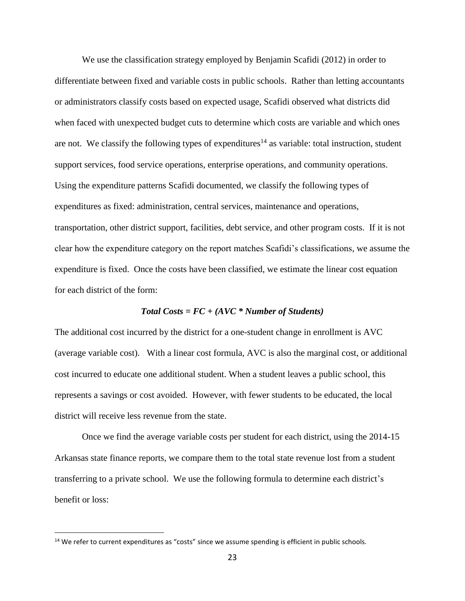We use the classification strategy employed by Benjamin Scafidi (2012) in order to differentiate between fixed and variable costs in public schools. Rather than letting accountants or administrators classify costs based on expected usage, Scafidi observed what districts did when faced with unexpected budget cuts to determine which costs are variable and which ones are not. We classify the following types of expenditures<sup>14</sup> as variable: total instruction, student support services, food service operations, enterprise operations, and community operations. Using the expenditure patterns Scafidi documented, we classify the following types of expenditures as fixed: administration, central services, maintenance and operations, transportation, other district support, facilities, debt service, and other program costs. If it is not clear how the expenditure category on the report matches Scafidi's classifications, we assume the expenditure is fixed. Once the costs have been classified, we estimate the linear cost equation for each district of the form:

#### *Total Costs = FC + (AVC \* Number of Students)*

The additional cost incurred by the district for a one-student change in enrollment is AVC (average variable cost). With a linear cost formula, AVC is also the marginal cost, or additional cost incurred to educate one additional student. When a student leaves a public school, this represents a savings or cost avoided. However, with fewer students to be educated, the local district will receive less revenue from the state.

Once we find the average variable costs per student for each district, using the 2014-15 Arkansas state finance reports, we compare them to the total state revenue lost from a student transferring to a private school. We use the following formula to determine each district's benefit or loss:

 $\overline{a}$ 

 $14$  We refer to current expenditures as "costs" since we assume spending is efficient in public schools.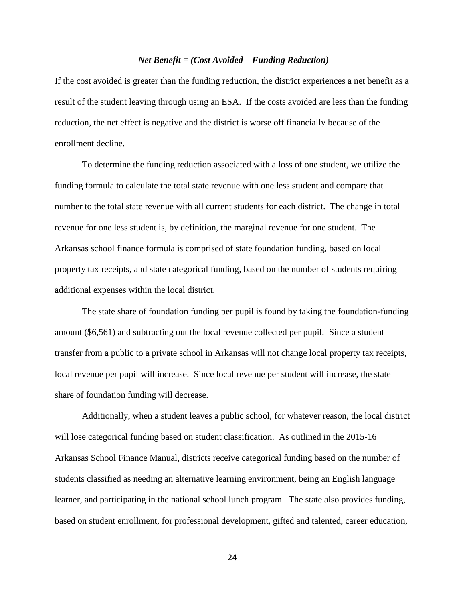#### *Net Benefit = (Cost Avoided – Funding Reduction)*

If the cost avoided is greater than the funding reduction, the district experiences a net benefit as a result of the student leaving through using an ESA. If the costs avoided are less than the funding reduction, the net effect is negative and the district is worse off financially because of the enrollment decline.

To determine the funding reduction associated with a loss of one student, we utilize the funding formula to calculate the total state revenue with one less student and compare that number to the total state revenue with all current students for each district. The change in total revenue for one less student is, by definition, the marginal revenue for one student. The Arkansas school finance formula is comprised of state foundation funding, based on local property tax receipts, and state categorical funding, based on the number of students requiring additional expenses within the local district.

The state share of foundation funding per pupil is found by taking the foundation-funding amount (\$6,561) and subtracting out the local revenue collected per pupil. Since a student transfer from a public to a private school in Arkansas will not change local property tax receipts, local revenue per pupil will increase. Since local revenue per student will increase, the state share of foundation funding will decrease.

Additionally, when a student leaves a public school, for whatever reason, the local district will lose categorical funding based on student classification. As outlined in the 2015-16 Arkansas School Finance Manual, districts receive categorical funding based on the number of students classified as needing an alternative learning environment, being an English language learner, and participating in the national school lunch program. The state also provides funding, based on student enrollment, for professional development, gifted and talented, career education,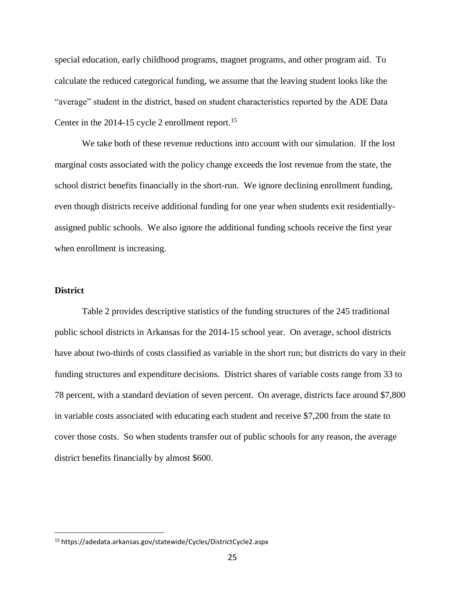special education, early childhood programs, magnet programs, and other program aid. To calculate the reduced categorical funding, we assume that the leaving student looks like the "average" student in the district, based on student characteristics reported by the ADE Data Center in the  $2014-15$  cycle 2 enrollment report.<sup>15</sup>

We take both of these revenue reductions into account with our simulation. If the lost marginal costs associated with the policy change exceeds the lost revenue from the state, the school district benefits financially in the short-run. We ignore declining enrollment funding, even though districts receive additional funding for one year when students exit residentiallyassigned public schools. We also ignore the additional funding schools receive the first year when enrollment is increasing.

#### **District**

 $\overline{a}$ 

Table 2 provides descriptive statistics of the funding structures of the 245 traditional public school districts in Arkansas for the 2014-15 school year. On average, school districts have about two-thirds of costs classified as variable in the short run; but districts do vary in their funding structures and expenditure decisions. District shares of variable costs range from 33 to 78 percent, with a standard deviation of seven percent. On average, districts face around \$7,800 in variable costs associated with educating each student and receive \$7,200 from the state to cover those costs. So when students transfer out of public schools for any reason, the average district benefits financially by almost \$600.

<sup>15</sup> https://adedata.arkansas.gov/statewide/Cycles/DistrictCycle2.aspx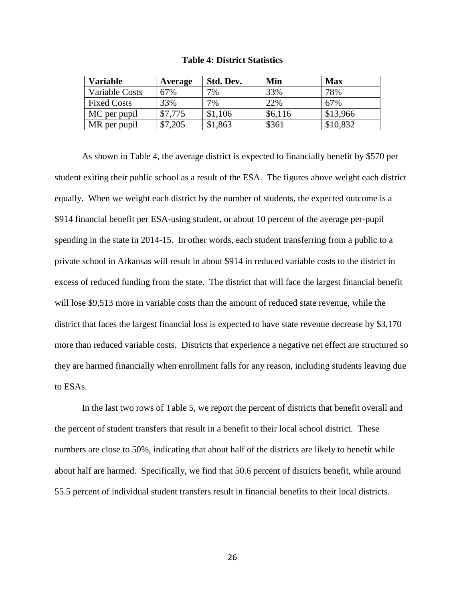| <b>Table 4: District Statistics</b> |
|-------------------------------------|
|-------------------------------------|

| <b>Variable</b>    | Average | Std. Dev. | Min     | <b>Max</b> |
|--------------------|---------|-----------|---------|------------|
| Variable Costs     | 67%     | 7%        | 33%     | 78%        |
| <b>Fixed Costs</b> | 33%     | 7%        | 22%     | 67%        |
| MC per pupil       | \$7,775 | \$1,106   | \$6,116 | \$13,966   |
| MR per pupil       | \$7,205 | \$1,863   | \$361   | \$10,832   |

As shown in Table 4, the average district is expected to financially benefit by \$570 per student exiting their public school as a result of the ESA. The figures above weight each district equally. When we weight each district by the number of students, the expected outcome is a \$914 financial benefit per ESA-using student, or about 10 percent of the average per-pupil spending in the state in 2014-15. In other words, each student transferring from a public to a private school in Arkansas will result in about \$914 in reduced variable costs to the district in excess of reduced funding from the state. The district that will face the largest financial benefit will lose \$9,513 more in variable costs than the amount of reduced state revenue, while the district that faces the largest financial loss is expected to have state revenue decrease by \$3,170 more than reduced variable costs. Districts that experience a negative net effect are structured so they are harmed financially when enrollment falls for any reason, including students leaving due to ESAs.

In the last two rows of Table 5, we report the percent of districts that benefit overall and the percent of student transfers that result in a benefit to their local school district. These numbers are close to 50%, indicating that about half of the districts are likely to benefit while about half are harmed. Specifically, we find that 50.6 percent of districts benefit, while around 55.5 percent of individual student transfers result in financial benefits to their local districts.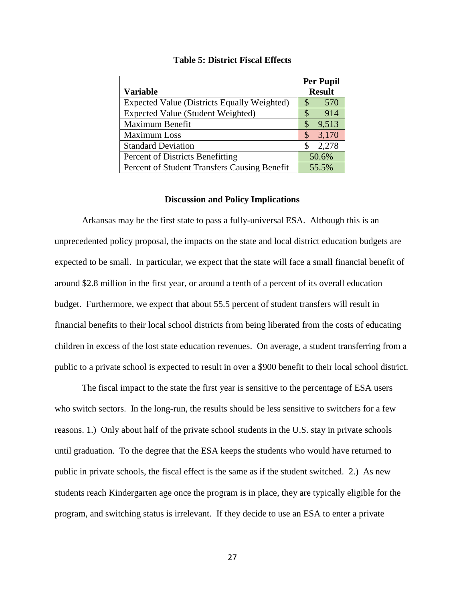|                                              | <b>Per Pupil</b> |
|----------------------------------------------|------------------|
| <b>Variable</b>                              | <b>Result</b>    |
| Expected Value (Districts Equally Weighted)  | 570<br>\$        |
| <b>Expected Value (Student Weighted)</b>     | 914<br>\$        |
| Maximum Benefit                              | 9,513<br>\$      |
| Maximum Loss                                 | 3,170<br>\$      |
| <b>Standard Deviation</b>                    | 2,278<br>\$      |
| Percent of Districts Benefitting             | 50.6%            |
| Percent of Student Transfers Causing Benefit | 55.5%            |

#### **Table 5: District Fiscal Effects**

#### **Discussion and Policy Implications**

Arkansas may be the first state to pass a fully-universal ESA. Although this is an unprecedented policy proposal, the impacts on the state and local district education budgets are expected to be small. In particular, we expect that the state will face a small financial benefit of around \$2.8 million in the first year, or around a tenth of a percent of its overall education budget. Furthermore, we expect that about 55.5 percent of student transfers will result in financial benefits to their local school districts from being liberated from the costs of educating children in excess of the lost state education revenues. On average, a student transferring from a public to a private school is expected to result in over a \$900 benefit to their local school district.

The fiscal impact to the state the first year is sensitive to the percentage of ESA users who switch sectors. In the long-run, the results should be less sensitive to switchers for a few reasons. 1.) Only about half of the private school students in the U.S. stay in private schools until graduation. To the degree that the ESA keeps the students who would have returned to public in private schools, the fiscal effect is the same as if the student switched. 2.) As new students reach Kindergarten age once the program is in place, they are typically eligible for the program, and switching status is irrelevant. If they decide to use an ESA to enter a private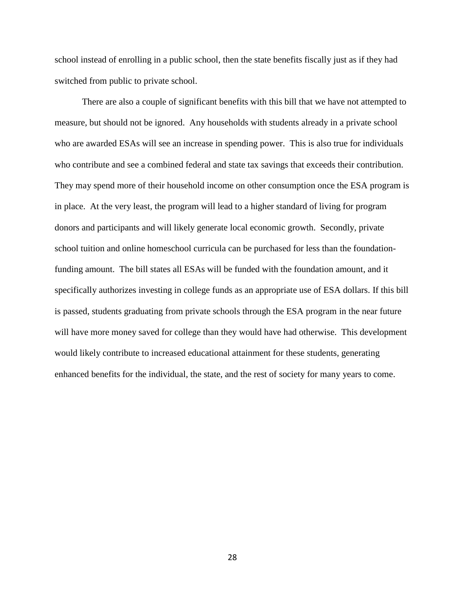school instead of enrolling in a public school, then the state benefits fiscally just as if they had switched from public to private school.

There are also a couple of significant benefits with this bill that we have not attempted to measure, but should not be ignored. Any households with students already in a private school who are awarded ESAs will see an increase in spending power. This is also true for individuals who contribute and see a combined federal and state tax savings that exceeds their contribution. They may spend more of their household income on other consumption once the ESA program is in place. At the very least, the program will lead to a higher standard of living for program donors and participants and will likely generate local economic growth. Secondly, private school tuition and online homeschool curricula can be purchased for less than the foundationfunding amount. The bill states all ESAs will be funded with the foundation amount, and it specifically authorizes investing in college funds as an appropriate use of ESA dollars. If this bill is passed, students graduating from private schools through the ESA program in the near future will have more money saved for college than they would have had otherwise. This development would likely contribute to increased educational attainment for these students, generating enhanced benefits for the individual, the state, and the rest of society for many years to come.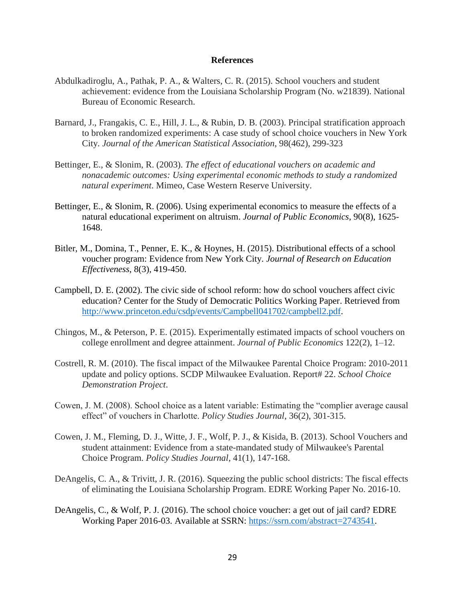#### **References**

- Abdulkadiroglu, A., Pathak, P. A., & Walters, C. R. (2015). School vouchers and student achievement: evidence from the Louisiana Scholarship Program (No. w21839). National Bureau of Economic Research.
- Barnard, J., Frangakis, C. E., Hill, J. L., & Rubin, D. B. (2003). Principal stratification approach to broken randomized experiments: A case study of school choice vouchers in New York City. *Journal of the American Statistical Association*, 98(462), 299-323
- Bettinger, E., & Slonim, R. (2003). *The effect of educational vouchers on academic and nonacademic outcomes: Using experimental economic methods to study a randomized natural experiment*. Mimeo, Case Western Reserve University.
- Bettinger, E., & Slonim, R. (2006). Using experimental economics to measure the effects of a natural educational experiment on altruism. *Journal of Public Economics*, 90(8), 1625- 1648.
- Bitler, M., Domina, T., Penner, E. K., & Hoynes, H. (2015). Distributional effects of a school voucher program: Evidence from New York City. *Journal of Research on Education Effectiveness*, 8(3), 419-450.
- Campbell, D. E. (2002). The civic side of school reform: how do school vouchers affect civic education? Center for the Study of Democratic Politics Working Paper. Retrieved from [http://www.princeton.edu/csdp/events/Campbell041702/campbell2.pdf.](http://www.princeton.edu/csdp/events/Campbell041702/campbell2.pdf)
- Chingos, M., & Peterson, P. E. (2015). Experimentally estimated impacts of school vouchers on college enrollment and degree attainment. *Journal of Public Economics* 122(2), 1–12.
- Costrell, R. M. (2010). The fiscal impact of the Milwaukee Parental Choice Program: 2010-2011 update and policy options. SCDP Milwaukee Evaluation. Report# 22. *School Choice Demonstration Project*.
- Cowen, J. M. (2008). School choice as a latent variable: Estimating the "complier average causal effect" of vouchers in Charlotte. *Policy Studies Journal*, 36(2), 301-315.
- Cowen, J. M., Fleming, D. J., Witte, J. F., Wolf, P. J., & Kisida, B. (2013). School Vouchers and student attainment: Evidence from a state-mandated study of Milwaukee's Parental Choice Program. *Policy Studies Journal*, 41(1), 147-168.
- DeAngelis, C. A., & Trivitt, J. R. (2016). Squeezing the public school districts: The fiscal effects of eliminating the Louisiana Scholarship Program. EDRE Working Paper No. 2016-10.
- DeAngelis, C., & Wolf, P. J. (2016). The school choice voucher: a get out of jail card? EDRE Working Paper 2016-03. Available at SSRN: [https://ssrn.com/abstract=2743541.](https://ssrn.com/abstract=2743541)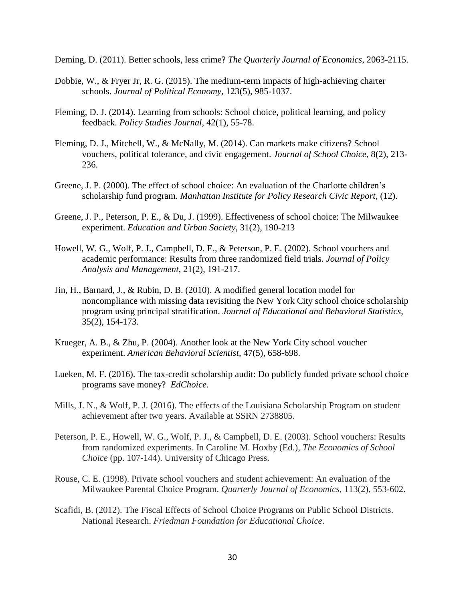Deming, D. (2011). Better schools, less crime? *The Quarterly Journal of Economics*, 2063-2115.

- Dobbie, W., & Fryer Jr, R. G. (2015). The medium-term impacts of high-achieving charter schools. *Journal of Political Economy*, 123(5), 985-1037.
- Fleming, D. J. (2014). Learning from schools: School choice, political learning, and policy feedback. *Policy Studies Journal*, 42(1), 55-78.
- Fleming, D. J., Mitchell, W., & McNally, M. (2014). Can markets make citizens? School vouchers, political tolerance, and civic engagement. *Journal of School Choice*, 8(2), 213- 236.
- Greene, J. P. (2000). The effect of school choice: An evaluation of the Charlotte children's scholarship fund program. *Manhattan Institute for Policy Research Civic Report*, (12).
- Greene, J. P., Peterson, P. E., & Du, J. (1999). Effectiveness of school choice: The Milwaukee experiment. *Education and Urban Society*, 31(2), 190-213
- Howell, W. G., Wolf, P. J., Campbell, D. E., & Peterson, P. E. (2002). School vouchers and academic performance: Results from three randomized field trials. *Journal of Policy Analysis and Management*, 21(2), 191-217.
- Jin, H., Barnard, J., & Rubin, D. B. (2010). A modified general location model for noncompliance with missing data revisiting the New York City school choice scholarship program using principal stratification. *Journal of Educational and Behavioral Statistics*, 35(2), 154-173.
- Krueger, A. B., & Zhu, P. (2004). Another look at the New York City school voucher experiment. *American Behavioral Scientist*, 47(5), 658-698.
- Lueken, M. F. (2016). The tax-credit scholarship audit: Do publicly funded private school choice programs save money? *EdChoice*.
- Mills, J. N., & Wolf, P. J. (2016). The effects of the Louisiana Scholarship Program on student achievement after two years. Available at SSRN 2738805.
- Peterson, P. E., Howell, W. G., Wolf, P. J., & Campbell, D. E. (2003). School vouchers: Results from randomized experiments. In Caroline M. Hoxby (Ed.), *The Economics of School Choice* (pp. 107-144). University of Chicago Press.
- Rouse, C. E. (1998). Private school vouchers and student achievement: An evaluation of the Milwaukee Parental Choice Program. *Quarterly Journal of Economics*, 113(2), 553-602.
- Scafidi, B. (2012). The Fiscal Effects of School Choice Programs on Public School Districts. National Research. *Friedman Foundation for Educational Choice*.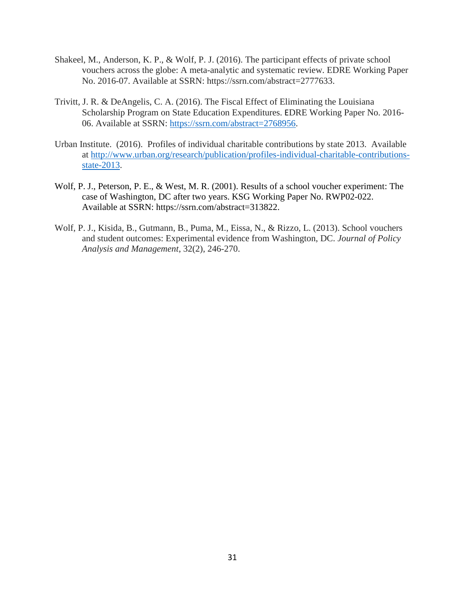- Shakeel, M., Anderson, K. P., & Wolf, P. J. (2016). The participant effects of private school vouchers across the globe: A meta-analytic and systematic review. EDRE Working Paper No. 2016-07. Available at SSRN: https://ssrn.com/abstract=2777633.
- Trivitt, J. R. & DeAngelis, C. A. (2016). The Fiscal Effect of Eliminating the Louisiana Scholarship Program on State Education Expenditures. EDRE Working Paper No. 2016- 06. Available at SSRN: [https://ssrn.com/abstract=2768956.](https://ssrn.com/abstract=2768956)
- Urban Institute. (2016). Profiles of individual charitable contributions by state 2013. Available at [http://www.urban.org/research/publication/profiles-individual-charitable-contributions](http://www.urban.org/research/publication/profiles-individual-charitable-contributions-state-2013)[state-2013.](http://www.urban.org/research/publication/profiles-individual-charitable-contributions-state-2013)
- Wolf, P. J., Peterson, P. E., & West, M. R. (2001). Results of a school voucher experiment: The case of Washington, DC after two years. KSG Working Paper No. RWP02-022. Available at SSRN: https://ssrn.com/abstract=313822.
- Wolf, P. J., Kisida, B., Gutmann, B., Puma, M., Eissa, N., & Rizzo, L. (2013). School vouchers and student outcomes: Experimental evidence from Washington, DC. *Journal of Policy Analysis and Management*, 32(2), 246-270.